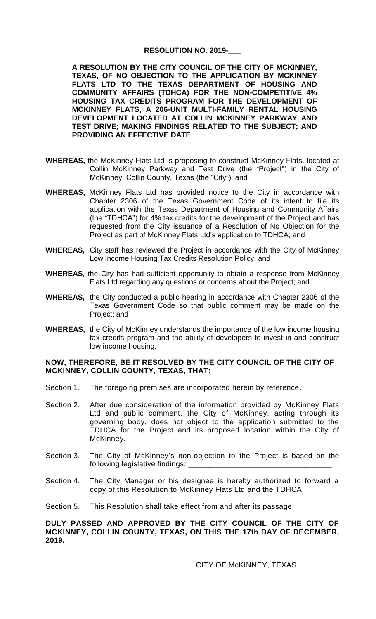## **RESOLUTION NO. 2019-\_\_\_**

**A RESOLUTION BY THE CITY COUNCIL OF THE CITY OF MCKINNEY, TEXAS, OF NO OBJECTION TO THE APPLICATION BY MCKINNEY FLATS LTD TO THE TEXAS DEPARTMENT OF HOUSING AND COMMUNITY AFFAIRS (TDHCA) FOR THE NON-COMPETITIVE 4% HOUSING TAX CREDITS PROGRAM FOR THE DEVELOPMENT OF MCKINNEY FLATS, A 206-UNIT MULTI-FAMILY RENTAL HOUSING DEVELOPMENT LOCATED AT COLLIN MCKINNEY PARKWAY AND TEST DRIVE; MAKING FINDINGS RELATED TO THE SUBJECT; AND PROVIDING AN EFFECTIVE DATE**

- **WHEREAS,** the McKinney Flats Ltd is proposing to construct McKinney Flats, located at Collin McKinney Parkway and Test Drive (the "Project") in the City of McKinney, Collin County, Texas (the "City"); and
- **WHEREAS,** McKinney Flats Ltd has provided notice to the City in accordance with Chapter 2306 of the Texas Government Code of its intent to file its application with the Texas Department of Housing and Community Affairs (the "TDHCA") for 4% tax credits for the development of the Project and has requested from the City issuance of a Resolution of No Objection for the Project as part of McKinney Flats Ltd's application to TDHCA; and
- **WHEREAS,** City staff has reviewed the Project in accordance with the City of McKinney Low Income Housing Tax Credits Resolution Policy; and
- **WHEREAS,** the City has had sufficient opportunity to obtain a response from McKinney Flats Ltd regarding any questions or concerns about the Project; and
- **WHEREAS,** the City conducted a public hearing in accordance with Chapter 2306 of the Texas Government Code so that public comment may be made on the Project; and
- **WHEREAS,** the City of McKinney understands the importance of the low income housing tax credits program and the ability of developers to invest in and construct low income housing.

## **NOW, THEREFORE, BE IT RESOLVED BY THE CITY COUNCIL OF THE CITY OF MCKINNEY, COLLIN COUNTY, TEXAS, THAT:**

- Section 1. The foregoing premises are incorporated herein by reference.
- Section 2. After due consideration of the information provided by McKinney Flats Ltd and public comment, the City of McKinney, acting through its governing body, does not object to the application submitted to the TDHCA for the Project and its proposed location within the City of McKinney.
- Section 3. The City of McKinney's non-objection to the Project is based on the following legislative findings:
- Section 4. The City Manager or his designee is hereby authorized to forward a copy of this Resolution to McKinney Flats Ltd and the TDHCA.
- Section 5. This Resolution shall take effect from and after its passage.

## **DULY PASSED AND APPROVED BY THE CITY COUNCIL OF THE CITY OF MCKINNEY, COLLIN COUNTY, TEXAS, ON THIS THE 17th DAY OF DECEMBER, 2019.**